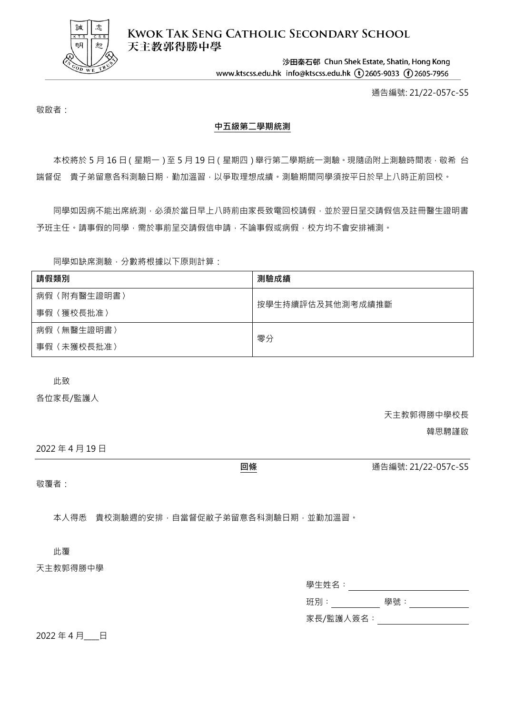

**KWOK TAK SENG CATHOLIC SECONDARY SCHOOL** 天主教郭得勝中學

> 沙田秦石邨 Chun Shek Estate, Shatin, Hong Kong www.ktscss.edu.hk info@ktscss.edu.hk (t)2605-9033 (f)2605-7956

> > 通告編號: 21/22-057c-S5

敬啟者:

## **中五級第二學期統測**

本校將於 5 月 16 日 (星期一 ) 至 5 月 19 日 (星期四 ) 舉行第二學期統一測驗 · 現隨函附上測驗時間表 · 敬希 台 端督促 貴子弟留意各科測驗日期,勤加溫習,以爭取理想成績。測驗期間同學須按平日於早上八時正前回校。

同學如因病不能出席統測,必須於當日早上八時前由家長致電回校請假,並於翌日呈交請假信及註冊醫生證明書 予班主任。請事假的同學,需於事前呈交請假信申請,不論事假或病假,校方均不會安排補測。

同學如缺席測驗,分數將根據以下原則計算:

| 請假類別            | 測驗成績             |
|-----------------|------------------|
| 病假〈附有醫生證明書〉     | 按學生持續評估及其他測考成績推斷 |
| 事假〈獲校長批准〉       |                  |
| 〈無醫生證明書〉<br>病假〈 | 零分               |
| 〈未獲校長批准〉<br>事假〈 |                  |

此致

各位家長/監護人

天主教郭得勝中學校長

韓思騁謹啟

2022 年 4 月 19 日

**回條** 通告編號: 21/22-057c-S5

敬覆者:

本人得悉 貴校測驗週的安排,自當督促敝子弟留意各科測驗日期,並勤加溫習。

此覆

天主教郭得勝中學

| 學生姓名:     |     |
|-----------|-----|
| 班別 :      | 學號: |
| 家長/監護人簽名: |     |

2022年4月 日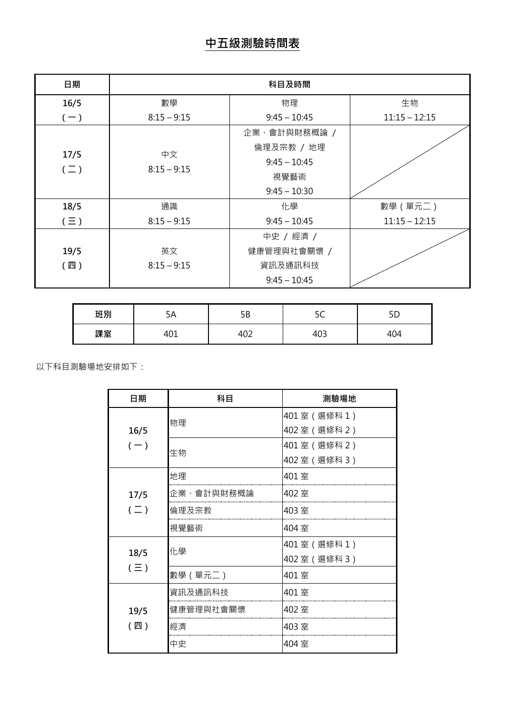| 日期                 | 科目及時間               |                                                                        |                 |
|--------------------|---------------------|------------------------------------------------------------------------|-----------------|
| 16/5               | 數學                  | 物理                                                                     | 生物              |
| $(-)$              | $8:15 - 9:15$       | $9:45 - 10:45$                                                         | $11:15 - 12:15$ |
| 17/5<br>$(\equiv)$ | 中文<br>$8:15 - 9:15$ | 企業、會計與財務概論 /<br>倫理及宗教 / 地理<br>$9:45 - 10:45$<br>視覺藝術<br>$9:45 - 10:30$ |                 |
| 18/5               | 通識                  | 化學                                                                     | 數學 (單元二)        |
| $(\equiv)$         | $8:15 - 9:15$       | $9:45 - 10:45$                                                         | $11:15 - 12:15$ |
| 19/5<br>(四)        | 英文<br>$8:15 - 9:15$ | 中史 / 經濟 /<br>健康管理與社會關懷 /<br>資訊及通訊科技<br>$9:45 - 10:45$                  |                 |

| 班別 | эΑ              | ᇊ<br>םכ |               |                                       |
|----|-----------------|---------|---------------|---------------------------------------|
| 課室 | $\sim$<br>. U J | 402     | $\sim$<br>1U3 | $\overline{\phantom{a}}$<br>ັບ<br>᠇୰᠇ |

以下科目測驗場地安排如下:

| 日期            | 科目         | 測驗場地         |
|---------------|------------|--------------|
|               | 物理         | 401室 (選修科1)  |
| 16/5          |            | 402室 (選修科 2) |
| $(-)$         | 生物         | 401室 (選修科 2) |
|               |            | 402室 (選修科 3) |
|               | 地理         | 401室         |
| 17/5          | 企業、會計與財務概論 | 402室         |
| $(\sqsupset)$ | 倫理及宗教      | 403室         |
|               | 視覺藝術       | 404 室        |
|               | 化學         | 401室 (選修科1)  |
| 18/5          |            | 402室 (選修科 3) |
| $(\equiv)$    | 數學 (單元二)   | 401室         |
|               | 資訊及通訊科技    | 401室         |
| 19/5          | 健康管理與社會關懷  | 402室         |
| (四)           | 經濟         | 403 室        |
|               | 中史         | 404 室        |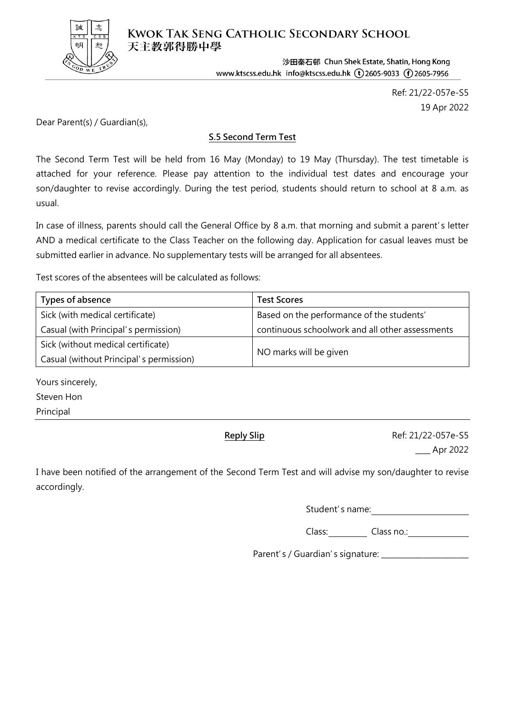

**KWOK TAK SENG CATHOLIC SECONDARY SCHOOL** 天主教郭得勝中學

> 沙田秦石邨 Chun Shek Estate, Shatin, Hong Kong www.ktscss.edu.hk info@ktscss.edu.hk (t) 2605-9033 (f) 2605-7956

> > Ref: 21/22-057e-S5 19 Apr 2022

Dear Parent(s) / Guardian(s),

## **S.5 Second Term Test**

The Second Term Test will be held from 16 May (Monday) to 19 May (Thursday). The test timetable is attached for your reference. Please pay attention to the individual test dates and encourage your son/daughter to revise accordingly. During the test period, students should return to school at 8 a.m. as usual.

In case of illness, parents should call the General Office by 8 a.m. that morning and submit a parent's letter AND a medical certificate to the Class Teacher on the following day. Application for casual leaves must be submitted earlier in advance. No supplementary tests will be arranged for all absentees.

Test scores of the absentees will be calculated as follows:

| Types of absence                        | <b>Test Scores</b>                              |  |
|-----------------------------------------|-------------------------------------------------|--|
| Sick (with medical certificate)         | Based on the performance of the students'       |  |
| Casual (with Principal's permission)    | continuous schoolwork and all other assessments |  |
| Sick (without medical certificate)      |                                                 |  |
| Casual (without Principal's permission) | NO marks will be given                          |  |

Yours sincerely, Steven Hon

Principal

**Reply Slip Ref: 21/22-057e-S5** 

\_\_\_\_ Apr 2022

I have been notified of the arrangement of the Second Term Test and will advise my son/daughter to revise accordingly.

Student's name:

Class: Class no.:

Parent's / Guardian's signature: \_\_\_\_\_\_\_\_\_\_\_\_\_\_\_\_\_\_\_\_\_\_\_